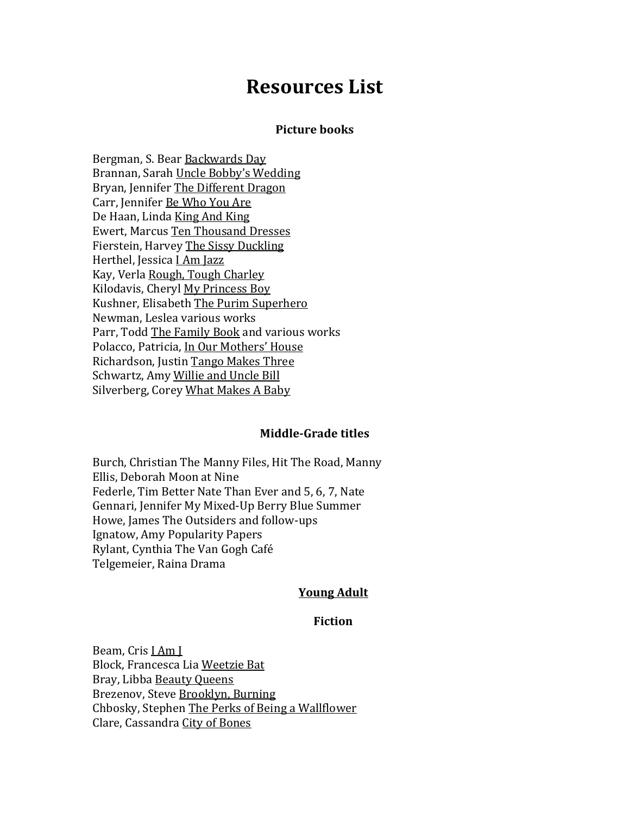# **Resources List**

## **Picture books**

Bergman, S. Bear Backwards Day Brannan, Sarah Uncle Bobby's Wedding Bryan, Jennifer The Different Dragon Carr, Jennifer Be Who You Are De Haan, Linda King And King Ewert, Marcus Ten Thousand Dresses Fierstein, Harvey The Sissy Duckling Herthel, Jessica I Am Jazz Kay, Verla Rough, Tough Charley Kilodavis, Cheryl My Princess Boy Kushner, Elisabeth The Purim Superhero Newman, Leslea various works Parr, Todd The Family Book and various works Polacco, Patricia, In Our Mothers' House Richardson, Justin Tango Makes Three Schwartz, Amy Willie and Uncle Bill Silverberg, Corey What Makes A Baby

#### **Middle-Grade titles**

Burch, Christian The Manny Files, Hit The Road, Manny Ellis, Deborah Moon at Nine Federle, Tim Better Nate Than Ever and 5, 6, 7, Nate Gennari, Jennifer My Mixed-Up Berry Blue Summer Howe, James The Outsiders and follow-ups Ignatow, Amy Popularity Papers Rylant, Cynthia The Van Gogh Café Telgemeier, Raina Drama

### **Young Adult**

#### **Fiction**

Beam, Cris I Am J Block, Francesca Lia Weetzie Bat Bray, Libba Beauty Queens Brezenov, Steve Brooklyn, Burning Chbosky, Stephen The Perks of Being a Wallflower Clare, Cassandra City of Bones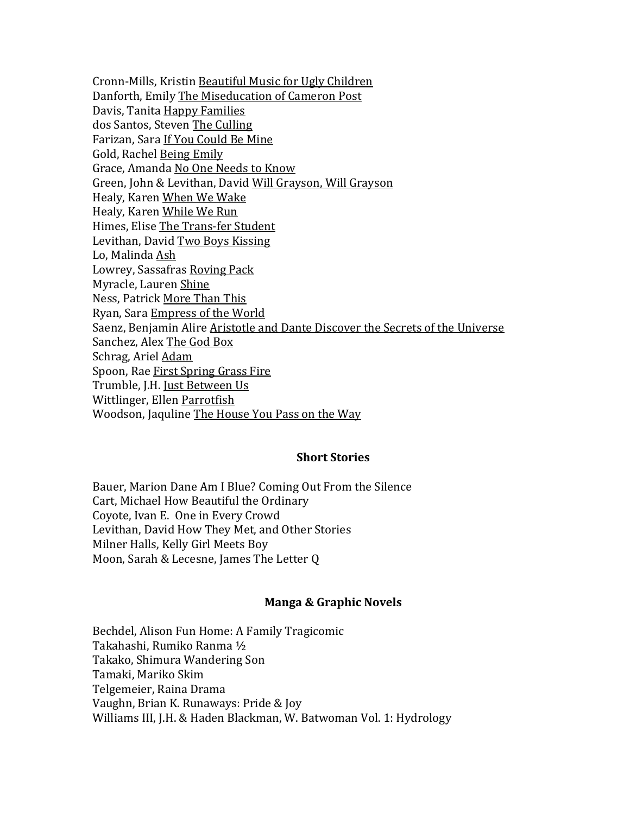Cronn-Mills, Kristin Beautiful Music for Ugly Children Danforth, Emily The Miseducation of Cameron Post Davis, Tanita Happy Families dos Santos, Steven The Culling Farizan, Sara If You Could Be Mine Gold, Rachel Being Emily Grace, Amanda No One Needs to Know Green, John & Levithan, David Will Grayson, Will Grayson Healy, Karen When We Wake Healy, Karen While We Run Himes, Elise The Trans-fer Student Levithan, David Two Boys Kissing Lo, Malinda Ash Lowrey, Sassafras Roving Pack Myracle, Lauren Shine Ness, Patrick More Than This Ryan, Sara Empress of the World Saenz, Benjamin Alire Aristotle and Dante Discover the Secrets of the Universe Sanchez, Alex The God Box Schrag, Ariel Adam Spoon, Rae First Spring Grass Fire Trumble, J.H. Just Between Us Wittlinger, Ellen Parrotfish Woodson, Jaquline The House You Pass on the Way

## **Short Stories**

Bauer, Marion Dane Am I Blue? Coming Out From the Silence Cart, Michael How Beautiful the Ordinary Coyote, Ivan E. One in Every Crowd Levithan, David How They Met, and Other Stories Milner Halls, Kelly Girl Meets Boy Moon, Sarah & Lecesne, James The Letter Q

## **Manga & Graphic Novels**

Bechdel, Alison Fun Home: A Family Tragicomic Takahashi, Rumiko Ranma ½ Takako, Shimura Wandering Son Tamaki, Mariko Skim Telgemeier, Raina Drama Vaughn, Brian K. Runaways: Pride & Joy Williams III, J.H. & Haden Blackman, W. Batwoman Vol. 1: Hydrology